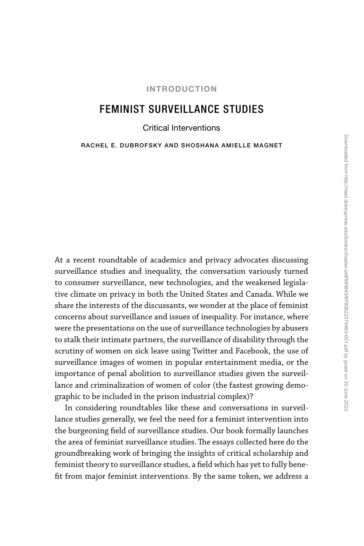## **INTRODUCTION**

# FEMINIST SURVEILLANCE STUDIES

Critical Interventions

RACHEL E. DUBROFSKY AND SHOSHANA AMIELLE MAGNET

At a recent roundtable of academics and privacy advocates discussing surveillance studies and inequality, the conversation variously turned to consumer surveillance, new technologies, and the weakened legislative climate on privacy in both the United States and Canada. While we share the interests of the discussants, we wonder at the place of feminist concerns about surveillance and issues of inequality. For instance, where were the presentations on the use of surveillance technologies by abusers to stalk their intimate partners, the surveillance of disability through the scrutiny of women on sick leave using Twitter and Facebook, the use of surveillance images of women in popular entertainment media, or the importance of penal abolition to surveillance studies given the surveillance and criminalization of women of color (the fastest growing demographic to be included in the prison industrial complex)?

In considering roundtables like these and conversations in surveillance studies generally, we feel the need for a feminist intervention into the burgeoning field of surveillance studies. Our book formally launches the area of feminist surveillance studies. The essays collected here do the groundbreaking work of bringing the insights of critical scholarship and feminist theory to surveillance studies, a field which has yet to fully benefit from major feminist interventions. By the same token, we address a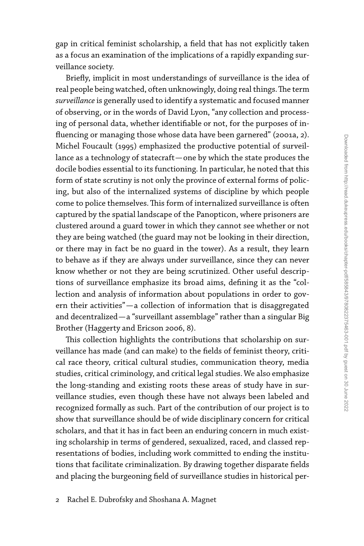gap in critical feminist scholarship, a field that has not explicitly taken as a focus an examination of the implications of a rapidly expanding surveillance society.

Briefly, implicit in most understandings of surveillance is the idea of real people being watched, often unknowingly, doing real things. The term *surveillance* is generally used to identify a systematic and focused manner of observing, or in the words of David Lyon, "any collection and processing of personal data, whether identifiable or not, for the purposes of influencing or managing those whose data have been garnered" (2001a, 2). Michel Foucault (1995) emphasized the productive potential of surveillance as a technology of statecraft—one by which the state produces the docile bodies essential to its functioning. In particular, he noted that this form of state scrutiny is not only the province of external forms of policing, but also of the internalized systems of discipline by which people come to police themselves. This form of internalized surveillance is often captured by the spatial landscape of the Panopticon, where prisoners are clustered around a guard tower in which they cannot see whether or not they are being watched (the guard may not be looking in their direction, or there may in fact be no guard in the tower). As a result, they learn to behave as if they are always under surveillance, since they can never know whether or not they are being scrutinized. Other useful descriptions of surveillance emphasize its broad aims, defining it as the "collection and analysis of information about populations in order to govern their activities"—a collection of information that is disaggregated and decentralized—a "surveillant assemblage" rather than a singular Big Brother (Haggerty and Ericson 2006, 8).

This collection highlights the contributions that scholarship on surveillance has made (and can make) to the fields of feminist theory, critical race theory, critical cultural studies, communication theory, media studies, critical criminology, and critical legal studies. We also emphasize the long-standing and existing roots these areas of study have in surveillance studies, even though these have not always been labeled and recognized formally as such. Part of the contribution of our project is to show that surveillance should be of wide disciplinary concern for critical scholars, and that it has in fact been an enduring concern in much existing scholarship in terms of gendered, sexualized, raced, and classed representations of bodies, including work committed to ending the institutions that facilitate criminalization. By drawing together disparate fields and placing the burgeoning field of surveillance studies in historical per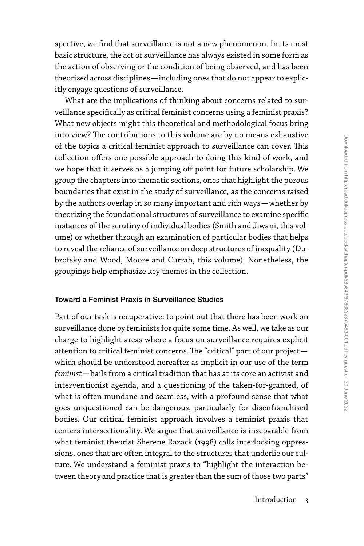spective, we find that surveillance is not a new phenomenon. In its most basic structure, the act of surveillance has always existed in some form as the action of observing or the condition of being observed, and has been theorized across disciplines—including ones that do not appear to explicitly engage questions of surveillance.

What are the implications of thinking about concerns related to surveillance specifically as critical feminist concerns using a feminist praxis? What new objects might this theoretical and methodological focus bring into view? The contributions to this volume are by no means exhaustive of the topics a critical feminist approach to surveillance can cover. This collection offers one possible approach to doing this kind of work, and we hope that it serves as a jumping off point for future scholarship. We group the chapters into thematic sections, ones that highlight the porous boundaries that exist in the study of surveillance, as the concerns raised by the authors overlap in so many important and rich ways—whether by theorizing the foundational structures of surveillance to examine specific instances of the scrutiny of individual bodies (Smith and Jiwani, this volume) or whether through an examination of particular bodies that helps to reveal the reliance of surveillance on deep structures of inequality (Dubrofsky and Wood, Moore and Currah, this volume). Nonetheless, the groupings help emphasize key themes in the collection.

# Toward a Feminist Praxis in Surveillance Studies

Part of our task is recuperative: to point out that there has been work on surveillance done by feminists for quite some time. As well, we take as our charge to highlight areas where a focus on surveillance requires explicit attention to critical feminist concerns. The "critical" part of our project which should be understood hereafter as implicit in our use of the term *feminist*—hails from a critical tradition that has at its core an activist and interventionist agenda, and a questioning of the taken-for-granted, of what is often mundane and seamless, with a profound sense that what goes unquestioned can be dangerous, particularly for disenfranchised bodies. Our critical feminist approach involves a feminist praxis that centers intersectionality. We argue that surveillance is inseparable from what feminist theorist Sherene Razack (1998) calls interlocking oppressions, ones that are often integral to the structures that underlie our culture. We understand a feminist praxis to "highlight the interaction between theory and practice that is greater than the sum of those two parts"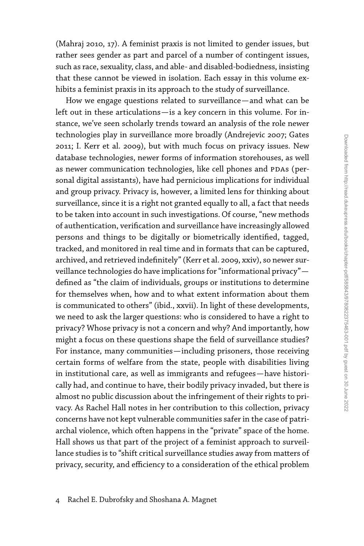(Mahraj 2010, 17). A feminist praxis is not limited to gender issues, but rather sees gender as part and parcel of a number of contingent issues, such as race, sexuality, class, and able- and disabled-bodiedness, insisting that these cannot be viewed in isolation. Each essay in this volume exhibits a feminist praxis in its approach to the study of surveillance.

How we engage questions related to surveillance—and what can be left out in these articulations—is a key concern in this volume. For instance, we've seen scholarly trends toward an analysis of the role newer technologies play in surveillance more broadly (Andrejevic 2007; Gates 2011; I. Kerr et al. 2009), but with much focus on privacy issues. New database technologies, newer forms of information storehouses, as well as newer communication technologies, like cell phones and PDAs (personal digital assistants), have had pernicious implications for individual and group privacy. Privacy is, however, a limited lens for thinking about surveillance, since it is a right not granted equally to all, a fact that needs to be taken into account in such investigations. Of course, "new methods of authentication, verification and surveillance have increasingly allowed persons and things to be digitally or biometrically identified, tagged, tracked, and monitored in real time and in formats that can be captured, archived, and retrieved indefinitely" (Kerr et al. 2009, xxiv), so newer surveillance technologies do have implications for "informational privacy" defined as "the claim of individuals, groups or institutions to determine for themselves when, how and to what extent information about them is communicated to others" (ibid., xxvii). In light of these developments, we need to ask the larger questions: who is considered to have a right to privacy? Whose privacy is not a concern and why? And importantly, how might a focus on these questions shape the field of surveillance studies? For instance, many communities—including prisoners, those receiving certain forms of welfare from the state, people with disabilities living in institutional care, as well as immigrants and refugees—have historically had, and continue to have, their bodily privacy invaded, but there is almost no public discussion about the infringement of their rights to privacy. As Rachel Hall notes in her contribution to this collection, privacy concerns have not kept vulnerable communities safer in the case of patriarchal violence, which often happens in the "private" space of the home. Hall shows us that part of the project of a feminist approach to surveillance studies is to "shift critical surveillance studies away from matters of privacy, security, and efficiency to a consideration of the ethical problem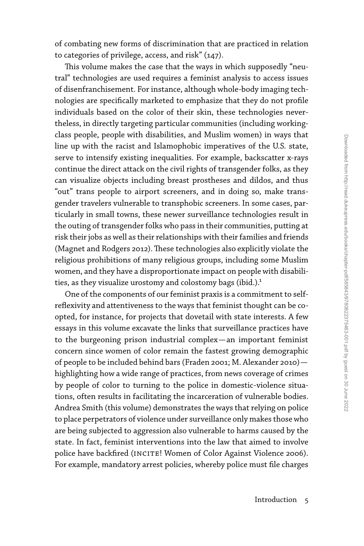of combating new forms of discrimination that are practiced in relation to categories of privilege, access, and risk" (147).

This volume makes the case that the ways in which supposedly "neutral" technologies are used requires a feminist analysis to access issues of disenfranchisement. For instance, although whole-body imaging technologies are specifically marketed to emphasize that they do not profile individuals based on the color of their skin, these technologies nevertheless, in directly targeting particular communities (including workingclass people, people with disabilities, and Muslim women) in ways that line up with the racist and Islamophobic imperatives of the U.S. state, serve to intensify existing inequalities. For example, backscatter x-rays continue the direct attack on the civil rights of transgender folks, as they can visualize objects including breast prostheses and dildos, and thus "out" trans people to airport screeners, and in doing so, make transgender travelers vulnerable to transphobic screeners. In some cases, particularly in small towns, these newer surveillance technologies result in the outing of transgender folks who pass in their communities, putting at risk their jobs as well as their relationships with their families and friends (Magnet and Rodgers 2012). These technologies also explicitly violate the religious prohibitions of many religious groups, including some Muslim women, and they have a disproportionate impact on people with disabilities, as they visualize urostomy and colostomy bags (ibid.).<sup>1</sup>

One of the components of our feminist praxis is a commitment to selfreflexivity and attentiveness to the ways that feminist thought can be coopted, for instance, for projects that dovetail with state interests. A few essays in this volume excavate the links that surveillance practices have to the burgeoning prison industrial complex—an important feminist concern since women of color remain the fastest growing demographic of people to be included behind bars (Fraden 2001; M. Alexander 2010) highlighting how a wide range of practices, from news coverage of crimes by people of color to turning to the police in domestic-violence situations, often results in facilitating the incarceration of vulnerable bodies. Andrea Smith (this volume) demonstrates the ways that relying on police to place perpetrators of violence under surveillance only makes those who are being subjected to aggression also vulnerable to harms caused by the state. In fact, feminist interventions into the law that aimed to involve police have backfired (INCITE! Women of Color Against Violence 2006). For example, mandatory arrest policies, whereby police must file charges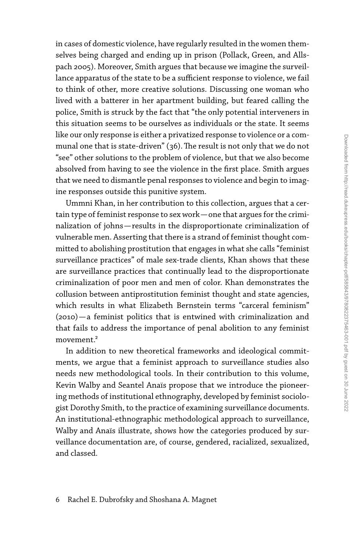in cases of domestic violence, have regularly resulted in the women themselves being charged and ending up in prison (Pollack, Green, and Allspach 2005). Moreover, Smith argues that because we imagine the surveillance apparatus of the state to be a sufficient response to violence, we fail to think of other, more creative solutions. Discussing one woman who lived with a batterer in her apartment building, but feared calling the police, Smith is struck by the fact that "the only potential interveners in this situation seems to be ourselves as individuals or the state. It seems like our only response is either a privatized response to violence or a communal one that is state-driven" (36). The result is not only that we do not "see" other solutions to the problem of violence, but that we also become absolved from having to see the violence in the first place. Smith argues that we need to dismantle penal responses to violence and begin to imagine responses outside this punitive system. Ummni Khan, in her contribution to this collection, argues that a cer-

tain type of feminist response to sex work—one that argues for the criminalization of johns—results in the disproportionate criminalization of vulnerable men. Asserting that there is a strand of feminist thought committed to abolishing prostitution that engages in what she calls "feminist surveillance practices" of male sex-trade clients, Khan shows that these are surveillance practices that continually lead to the disproportionate criminalization of poor men and men of color. Khan demonstrates the collusion between antiprostitution feminist thought and state agencies, which results in what Elizabeth Bernstein terms "carceral feminism" (2010)—a feminist politics that is entwined with criminalization and that fails to address the importance of penal abolition to any feminist movement.<sup>2</sup>

In addition to new theoretical frameworks and ideological commitments, we argue that a feminist approach to surveillance studies also needs new methodological tools. In their contribution to this volume, Kevin Walby and Seantel Anaïs propose that we introduce the pioneering methods of institutional ethnography, developed by feminist sociologist Dorothy Smith, to the practice of examining surveillance documents. An institutional-ethnographic methodological approach to surveillance, Walby and Anaïs illustrate, shows how the categories produced by surveillance documentation are, of course, gendered, racialized, sexualized, and classed.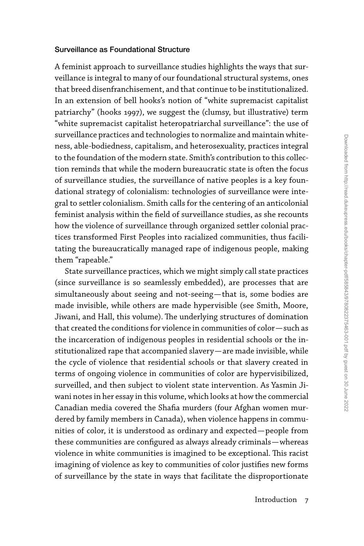## Surveillance as Foundational Structure

A feminist approach to surveillance studies highlights the ways that surveillance is integral to many of our foundational structural systems, ones that breed disenfranchisement, and that continue to be institutionalized. In an extension of bell hooks's notion of "white supremacist capitalist patriarchy" (hooks 1997), we suggest the (clumsy, but illustrative) term "white supremacist capitalist heteropatriarchal surveillance": the use of surveillance practices and technologies to normalize and maintain whiteness, able-bodiedness, capitalism, and heterosexuality, practices integral to the foundation of the modern state. Smith's contribution to this collection reminds that while the modern bureaucratic state is often the focus of surveillance studies, the surveillance of native peoples is a key foundational strategy of colonialism: technologies of surveillance were integral to settler colonialism. Smith calls for the centering of an anticolonial feminist analysis within the field of surveillance studies, as she recounts how the violence of surveillance through organized settler colonial practices transformed First Peoples into racialized communities, thus facilitating the bureaucratically managed rape of indigenous people, making them "rapeable."

State surveillance practices, which we might simply call state practices (since surveillance is so seamlessly embedded), are processes that are simultaneously about seeing and not-seeing—that is, some bodies are made invisible, while others are made hypervisible (see Smith, Moore, Jiwani, and Hall, this volume). The underlying structures of domination that created the conditions for violence in communities of color—such as the incarceration of indigenous peoples in residential schools or the institutionalized rape that accompanied slavery—are made invisible, while the cycle of violence that residential schools or that slavery created in terms of ongoing violence in communities of color are hypervisibilized, surveilled, and then subject to violent state intervention. As Yasmin Jiwani notes in her essay in this volume, which looks at how the commercial Canadian media covered the Shafia murders (four Afghan women murdered by family members in Canada), when violence happens in communities of color, it is understood as ordinary and expected—people from these communities are configured as always already criminals—whereas violence in white communities is imagined to be exceptional. This racist imagining of violence as key to communities of color justifies new forms of surveillance by the state in ways that facilitate the disproportionate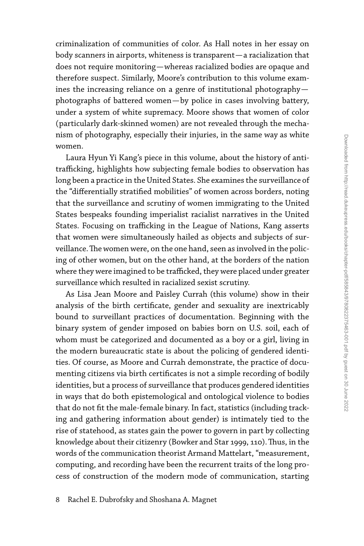criminalization of communities of color. As Hall notes in her essay on body scanners in airports, whiteness is transparent—a racialization that does not require monitoring—whereas racialized bodies are opaque and therefore suspect. Similarly, Moore's contribution to this volume examines the increasing reliance on a genre of institutional photography photographs of battered women—by police in cases involving battery, under a system of white supremacy. Moore shows that women of color (particularly dark-skinned women) are not revealed through the mechanism of photography, especially their injuries, in the same way as white women.

Laura Hyun Yi Kang's piece in this volume, about the history of antitrafficking, highlights how subjecting female bodies to observation has long been a practice in the United States. She examines the surveillance of the "differentially stratified mobilities" of women across borders, noting that the surveillance and scrutiny of women immigrating to the United States bespeaks founding imperialist racialist narratives in the United States. Focusing on trafficking in the League of Nations, Kang asserts that women were simultaneously hailed as objects and subjects of surveillance. The women were, on the one hand, seen as involved in the policing of other women, but on the other hand, at the borders of the nation where they were imagined to be trafficked, they were placed under greater surveillance which resulted in racialized sexist scrutiny.

As Lisa Jean Moore and Paisley Currah (this volume) show in their analysis of the birth certificate, gender and sexuality are inextricably bound to surveillant practices of documentation. Beginning with the binary system of gender imposed on babies born on U.S. soil, each of whom must be categorized and documented as a boy or a girl, living in the modern bureaucratic state is about the policing of gendered identities. Of course, as Moore and Currah demonstrate, the practice of documenting citizens via birth certificates is not a simple recording of bodily identities, but a process of surveillance that produces gendered identities in ways that do both epistemological and ontological violence to bodies that do not fit the male-female binary. In fact, statistics (including tracking and gathering information about gender) is intimately tied to the rise of statehood, as states gain the power to govern in part by collecting knowledge about their citizenry (Bowker and Star 1999, 110). Thus, in the words of the communication theorist Armand Mattelart, "measurement, computing, and recording have been the recurrent traits of the long process of construction of the modern mode of communication, starting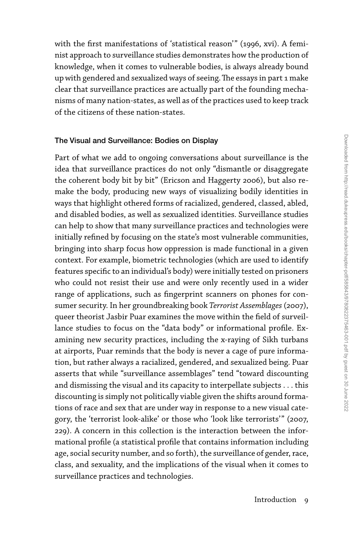with the first manifestations of 'statistical reason'" (1996, xvi). A feminist approach to surveillance studies demonstrates how the production of knowledge, when it comes to vulnerable bodies, is always already bound up with gendered and sexualized ways of seeing. The essays in part 1 make clear that surveillance practices are actually part of the founding mechanisms of many nation-states, as well as of the practices used to keep track of the citizens of these nation-states.

# The Visual and Surveillance: Bodies on Display

Part of what we add to ongoing conversations about surveillance is the idea that surveillance practices do not only "dismantle or disaggregate the coherent body bit by bit" (Ericson and Haggerty 2006), but also remake the body, producing new ways of visualizing bodily identities in ways that highlight othered forms of racialized, gendered, classed, abled, and disabled bodies, as well as sexualized identities. Surveillance studies can help to show that many surveillance practices and technologies were initially refined by focusing on the state's most vulnerable communities, bringing into sharp focus how oppression is made functional in a given context. For example, biometric technologies (which are used to identify features specific to an individual's body) were initially tested on prisoners who could not resist their use and were only recently used in a wider range of applications, such as fingerprint scanners on phones for consumer security. In her groundbreaking book *Terrorist Assemblages* (2007), queer theorist Jasbir Puar examines the move within the field of surveillance studies to focus on the "data body" or informational profile. Examining new security practices, including the x-raying of Sikh turbans at airports, Puar reminds that the body is never a cage of pure information, but rather always a racialized, gendered, and sexualized being. Puar asserts that while "surveillance assemblages" tend "toward discounting and dismissing the visual and its capacity to interpellate subjects . . . this discounting is simply not politically viable given the shifts around formations of race and sex that are under way in response to a new visual category, the 'terrorist look-alike' or those who 'look like terrorists'" (2007, 229). A concern in this collection is the interaction between the informational profile (a statistical profile that contains information including age, social security number, and so forth), the surveillance of gender, race, class, and sexuality, and the implications of the visual when it comes to surveillance practices and technologies.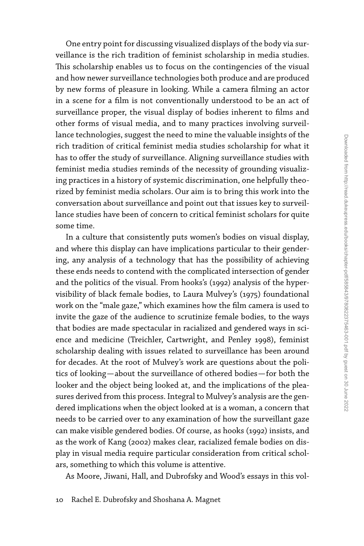One entry point for discussing visualized displays of the body via surveillance is the rich tradition of feminist scholarship in media studies. This scholarship enables us to focus on the contingencies of the visual and how newer surveillance technologies both produce and are produced by new forms of pleasure in looking. While a camera filming an actor in a scene for a film is not conventionally understood to be an act of surveillance proper, the visual display of bodies inherent to films and other forms of visual media, and to many practices involving surveillance technologies, suggest the need to mine the valuable insights of the rich tradition of critical feminist media studies scholarship for what it has to offer the study of surveillance. Aligning surveillance studies with feminist media studies reminds of the necessity of grounding visualizing practices in a history of systemic discrimination, one helpfully theorized by feminist media scholars. Our aim is to bring this work into the conversation about surveillance and point out that issues key to surveillance studies have been of concern to critical feminist scholars for quite some time.

In a culture that consistently puts women's bodies on visual display, and where this display can have implications particular to their gendering, any analysis of a technology that has the possibility of achieving these ends needs to contend with the complicated intersection of gender and the politics of the visual. From hooks's (1992) analysis of the hypervisibility of black female bodies, to Laura Mulvey's (1975) foundational work on the "male gaze," which examines how the film camera is used to invite the gaze of the audience to scrutinize female bodies, to the ways that bodies are made spectacular in racialized and gendered ways in science and medicine (Treichler, Cartwright, and Penley 1998), feminist scholarship dealing with issues related to surveillance has been around for decades. At the root of Mulvey's work are questions about the politics of looking—about the surveillance of othered bodies—for both the looker and the object being looked at, and the implications of the pleasures derived from this process. Integral to Mulvey's analysis are the gendered implications when the object looked at is a woman, a concern that needs to be carried over to any examination of how the surveillant gaze can make visible gendered bodies. Of course, as hooks (1992) insists, and as the work of Kang (2002) makes clear, racialized female bodies on display in visual media require particular consideration from critical scholars, something to which this volume is attentive.

As Moore, Jiwani, Hall, and Dubrofsky and Wood's essays in this vol-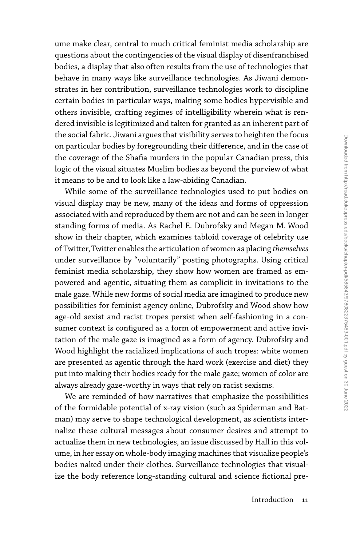ume make clear, central to much critical feminist media scholarship are questions about the contingencies of the visual display of disenfranchised bodies, a display that also often results from the use of technologies that behave in many ways like surveillance technologies. As Jiwani demonstrates in her contribution, surveillance technologies work to discipline certain bodies in particular ways, making some bodies hypervisible and others invisible, crafting regimes of intelligibility wherein what is rendered invisible is legitimized and taken for granted as an inherent part of the social fabric. Jiwani argues that visibility serves to heighten the focus on particular bodies by foregrounding their difference, and in the case of the coverage of the Shafia murders in the popular Canadian press, this logic of the visual situates Muslim bodies as beyond the purview of what it means to be and to look like a law-abiding Canadian.

While some of the surveillance technologies used to put bodies on visual display may be new, many of the ideas and forms of oppression associated with and reproduced by them are not and can be seen in longer standing forms of media. As Rachel E. Dubrofsky and Megan M. Wood show in their chapter, which examines tabloid coverage of celebrity use of Twitter, Twitter enables the articulation of women as placing *themselves* under surveillance by "voluntarily" posting photographs. Using critical feminist media scholarship, they show how women are framed as empowered and agentic, situating them as complicit in invitations to the male gaze. While new forms of social media are imagined to produce new possibilities for feminist agency online, Dubrofsky and Wood show how age-old sexist and racist tropes persist when self-fashioning in a consumer context is configured as a form of empowerment and active invitation of the male gaze is imagined as a form of agency. Dubrofsky and Wood highlight the racialized implications of such tropes: white women are presented as agentic through the hard work (exercise and diet) they put into making their bodies ready for the male gaze; women of color are always already gaze-worthy in ways that rely on racist sexisms.

We are reminded of how narratives that emphasize the possibilities of the formidable potential of x-ray vision (such as Spiderman and Batman) may serve to shape technological development, as scientists internalize these cultural messages about consumer desires and attempt to actualize them in new technologies, an issue discussed by Hall in this volume, in her essay on whole-body imaging machines that visualize people's bodies naked under their clothes. Surveillance technologies that visualize the body reference long-standing cultural and science fictional pre-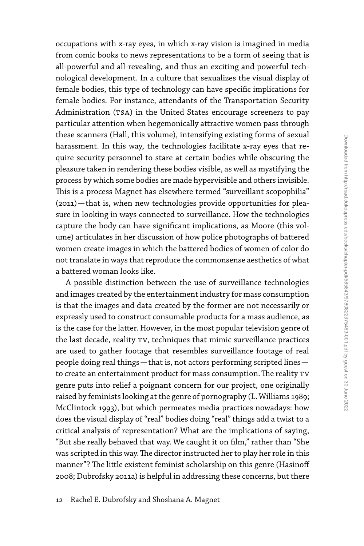occupations with x-ray eyes, in which x-ray vision is imagined in media from comic books to news representations to be a form of seeing that is all-powerful and all-revealing, and thus an exciting and powerful technological development. In a culture that sexualizes the visual display of female bodies, this type of technology can have specific implications for female bodies. For instance, attendants of the Transportation Security Administration (TSA) in the United States encourage screeners to pay particular attention when hegemonically attractive women pass through these scanners (Hall, this volume), intensifying existing forms of sexual harassment. In this way, the technologies facilitate x-ray eyes that require security personnel to stare at certain bodies while obscuring the pleasure taken in rendering these bodies visible, as well as mystifying the process by which some bodies are made hypervisible and others invisible. This is a process Magnet has elsewhere termed "surveillant scopophilia" (2011)—that is, when new technologies provide opportunities for pleasure in looking in ways connected to surveillance. How the technologies capture the body can have significant implications, as Moore (this volume) articulates in her discussion of how police photographs of battered women create images in which the battered bodies of women of color do not translate in ways that reproduce the commonsense aesthetics of what a battered woman looks like.

A possible distinction between the use of surveillance technologies and images created by the entertainment industry for mass consumption is that the images and data created by the former are not necessarily or expressly used to construct consumable products for a mass audience, as is the case for the latter. However, in the most popular television genre of the last decade, reality TV, techniques that mimic surveillance practices are used to gather footage that resembles surveillance footage of real people doing real things—that is, not actors performing scripted lines to create an entertainment product for mass consumption. The reality TV genre puts into relief a poignant concern for our project, one originally raised by feminists looking at the genre of pornography (L. Williams 1989; McClintock 1993), but which permeates media practices nowadays: how does the visual display of "real" bodies doing "real" things add a twist to a critical analysis of representation? What are the implications of saying, "But she really behaved that way. We caught it on film," rather than "She was scripted in this way. The director instructed her to play her role in this manner"? The little existent feminist scholarship on this genre (Hasinoff 2008; Dubrofsky 2011a) is helpful in addressing these concerns, but there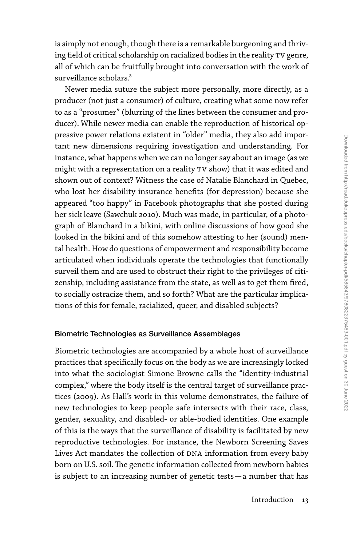is simply not enough, though there is a remarkable burgeoning and thriving field of critical scholarship on racialized bodies in the reality TV genre, all of which can be fruitfully brought into conversation with the work of surveillance scholars.<sup>3</sup>

Newer media suture the subject more personally, more directly, as a producer (not just a consumer) of culture, creating what some now refer to as a "prosumer" (blurring of the lines between the consumer and producer). While newer media can enable the reproduction of historical oppressive power relations existent in "older" media, they also add important new dimensions requiring investigation and understanding. For instance, what happens when we can no longer say about an image (as we might with a representation on a reality TV show) that it was edited and shown out of context? Witness the case of Natalie Blanchard in Quebec, who lost her disability insurance benefits (for depression) because she appeared "too happy" in Facebook photographs that she posted during her sick leave (Sawchuk 2010). Much was made, in particular, of a photograph of Blanchard in a bikini, with online discussions of how good she looked in the bikini and of this somehow attesting to her (sound) mental health. How do questions of empowerment and responsibility become articulated when individuals operate the technologies that functionally surveil them and are used to obstruct their right to the privileges of citizenship, including assistance from the state, as well as to get them fired, to socially ostracize them, and so forth? What are the particular implications of this for female, racialized, queer, and disabled subjects?

## Biometric Technologies as Surveillance Assemblages

Biometric technologies are accompanied by a whole host of surveillance practices that specifically focus on the body as we are increasingly locked into what the sociologist Simone Browne calls the "identity-industrial complex," where the body itself is the central target of surveillance practices (2009). As Hall's work in this volume demonstrates, the failure of new technologies to keep people safe intersects with their race, class, gender, sexuality, and disabled- or able-bodied identities. One example of this is the ways that the surveillance of disability is facilitated by new reproductive technologies. For instance, the Newborn Screening Saves Lives Act mandates the collection of DNA information from every baby born on U.S. soil. The genetic information collected from newborn babies is subject to an increasing number of genetic tests—a number that has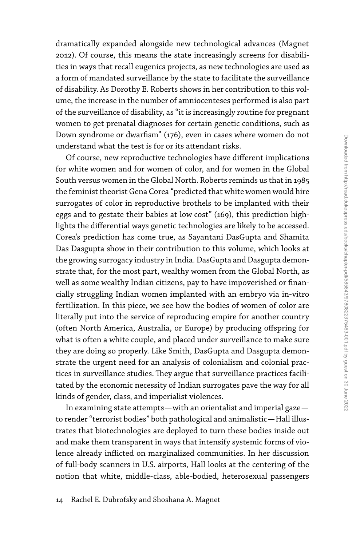dramatically expanded alongside new technological advances (Magnet 2012). Of course, this means the state increasingly screens for disabilities in ways that recall eugenics projects, as new technologies are used as a form of mandated surveillance by the state to facilitate the surveillance of disability. As Dorothy E. Roberts shows in her contribution to this volume, the increase in the number of amniocenteses performed is also part of the surveillance of disability, as "it is increasingly routine for pregnant women to get prenatal diagnoses for certain genetic conditions, such as Down syndrome or dwarfism" (176), even in cases where women do not understand what the test is for or its attendant risks.

Of course, new reproductive technologies have different implications for white women and for women of color, and for women in the Global South versus women in the Global North. Roberts reminds us that in 1985 the feminist theorist Gena Corea "predicted that white women would hire surrogates of color in reproductive brothels to be implanted with their eggs and to gestate their babies at low cost" (169), this prediction highlights the differential ways genetic technologies are likely to be accessed. Corea's prediction has come true, as Sayantani DasGupta and Shamita Das Dasgupta show in their contribution to this volume, which looks at the growing surrogacy industry in India. DasGupta and Dasgupta demonstrate that, for the most part, wealthy women from the Global North, as well as some wealthy Indian citizens, pay to have impoverished or financially struggling Indian women implanted with an embryo via in-vitro fertilization. In this piece, we see how the bodies of women of color are literally put into the service of reproducing empire for another country (often North America, Australia, or Europe) by producing offspring for what is often a white couple, and placed under surveillance to make sure they are doing so properly. Like Smith, DasGupta and Dasgupta demonstrate the urgent need for an analysis of colonialism and colonial practices in surveillance studies. They argue that surveillance practices facilitated by the economic necessity of Indian surrogates pave the way for all kinds of gender, class, and imperialist violences.

In examining state attempts—with an orientalist and imperial gaze to render "terrorist bodies" both pathological and animalistic—Hall illustrates that biotechnologies are deployed to turn these bodies inside out and make them transparent in ways that intensify systemic forms of violence already inflicted on marginalized communities. In her discussion of full-body scanners in U.S. airports, Hall looks at the centering of the notion that white, middle-class, able-bodied, heterosexual passengers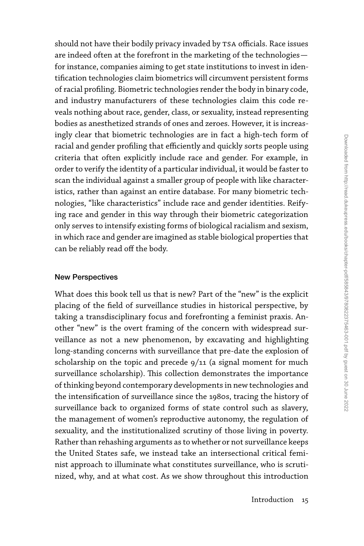should not have their bodily privacy invaded by TSA officials. Race issues are indeed often at the forefront in the marketing of the technologies for instance, companies aiming to get state institutions to invest in identification technologies claim biometrics will circumvent persistent forms of racial profiling. Biometric technologies render the body in binary code, and industry manufacturers of these technologies claim this code reveals nothing about race, gender, class, or sexuality, instead representing bodies as anesthetized strands of ones and zeroes. However, it is increasingly clear that biometric technologies are in fact a high-tech form of racial and gender profiling that efficiently and quickly sorts people using criteria that often explicitly include race and gender. For example, in order to verify the identity of a particular individual, it would be faster to scan the individual against a smaller group of people with like characteristics, rather than against an entire database. For many biometric technologies, "like characteristics" include race and gender identities. Reifying race and gender in this way through their biometric categorization only serves to intensify existing forms of biological racialism and sexism, in which race and gender are imagined as stable biological properties that can be reliably read off the body.

#### New Perspectives

What does this book tell us that is new? Part of the "new" is the explicit placing of the field of surveillance studies in historical perspective, by taking a transdisciplinary focus and forefronting a feminist praxis. Another "new" is the overt framing of the concern with widespread surveillance as not a new phenomenon, by excavating and highlighting long-standing concerns with surveillance that pre-date the explosion of scholarship on the topic and precede 9/11 (a signal moment for much surveillance scholarship). This collection demonstrates the importance of thinking beyond contemporary developments in new technologies and the intensification of surveillance since the 1980s, tracing the history of surveillance back to organized forms of state control such as slavery, the management of women's reproductive autonomy, the regulation of sexuality, and the institutionalized scrutiny of those living in poverty. Rather than rehashing arguments as to whether or not surveillance keeps the United States safe, we instead take an intersectional critical feminist approach to illuminate what constitutes surveillance, who is scrutinized, why, and at what cost. As we show throughout this introduction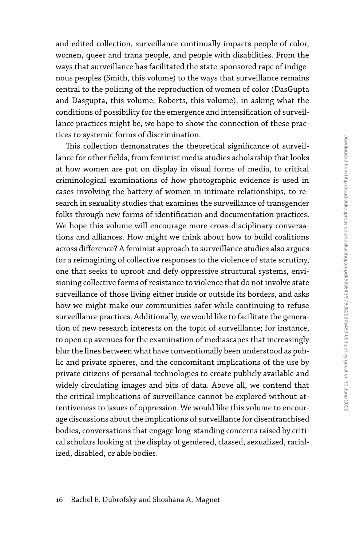and edited collection, surveillance continually impacts people of color, women, queer and trans people, and people with disabilities. From the ways that surveillance has facilitated the state-sponsored rape of indigenous peoples (Smith, this volume) to the ways that surveillance remains central to the policing of the reproduction of women of color (DasGupta and Dasgupta, this volume; Roberts, this volume), in asking what the conditions of possibility for the emergence and intensification of surveillance practices might be, we hope to show the connection of these practices to systemic forms of discrimination.

This collection demonstrates the theoretical significance of surveillance for other fields, from feminist media studies scholarship that looks at how women are put on display in visual forms of media, to critical criminological examinations of how photographic evidence is used in cases involving the battery of women in intimate relationships, to research in sexuality studies that examines the surveillance of transgender folks through new forms of identification and documentation practices. We hope this volume will encourage more cross-disciplinary conversations and alliances. How might we think about how to build coalitions across difference? A feminist approach to surveillance studies also argues for a reimagining of collective responses to the violence of state scrutiny, one that seeks to uproot and defy oppressive structural systems, envisioning collective forms of resistance to violence that do not involve state surveillance of those living either inside or outside its borders, and asks how we might make our communities safer while continuing to refuse surveillance practices. Additionally, we would like to facilitate the generation of new research interests on the topic of surveillance; for instance, to open up avenues for the examination of mediascapes that increasingly blur the lines between what have conventionally been understood as public and private spheres, and the concomitant implications of the use by private citizens of personal technologies to create publicly available and widely circulating images and bits of data. Above all, we contend that the critical implications of surveillance cannot be explored without attentiveness to issues of oppression. We would like this volume to encourage discussions about the implications of surveillance for disenfranchised bodies, conversations that engage long-standing concerns raised by critical scholars looking at the display of gendered, classed, sexualized, racialized, disabled, or able bodies.